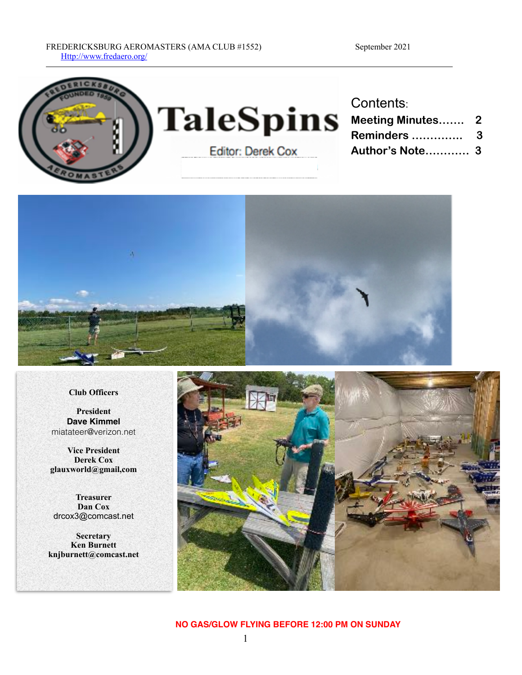



#### **Club Officers**

**President Dave Kimmel** miatateer@verizon.net

**Vice President Derek Cox glauxworld@gmail,com**

**Treasurer Dan Cox** drcox3@comcast.net

**Secretary Ken Burnett knjburnett@comcast.net**



#### **NO GAS/GLOW FLYING BEFORE 12:00 PM ON SUNDAY**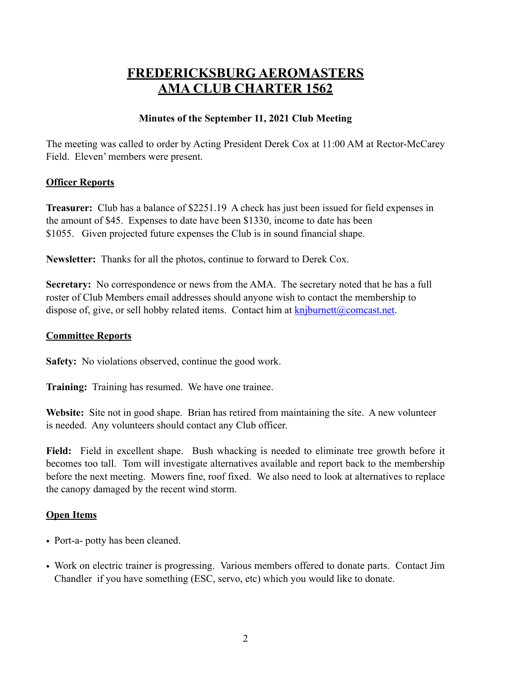# **FREDERICKSBURG AEROMASTERS AMA CLUB CHARTER 1562**

### **Minutes of the September 11, 2021 Club Meeting**

The meeting was called to order by Acting President Derek Cox at 11:00 AM at Rector-McCarey Field. Eleven' members were present.

#### **Officer Reports**

**Treasurer:** Club has a balance of \$2251.19 A check has just been issued for field expenses in the amount of \$45. Expenses to date have been \$1330, income to date has been \$1055. Given projected future expenses the Club is in sound financial shape.

**Newsletter:** Thanks for all the photos, continue to forward to Derek Cox.

**Secretary:** No correspondence or news from the AMA. The secretary noted that he has a full roster of Club Members email addresses should anyone wish to contact the membership to dispose of, give, or sell hobby related items. Contact him at  $knjburnett@connect.net$ .

### **Committee Reports**

**Safety:** No violations observed, continue the good work.

**Training:** Training has resumed. We have one trainee.

**Website:** Site not in good shape. Brian has retired from maintaining the site. A new volunteer is needed. Any volunteers should contact any Club officer.

**Field:** Field in excellent shape. Bush whacking is needed to eliminate tree growth before it becomes too tall. Tom will investigate alternatives available and report back to the membership before the next meeting. Mowers fine, roof fixed. We also need to look at alternatives to replace the canopy damaged by the recent wind storm.

### **Open Items**

- Port-a- potty has been cleaned.
- Work on electric trainer is progressing. Various members offered to donate parts. Contact Jim Chandler if you have something (ESC, servo, etc) which you would like to donate.